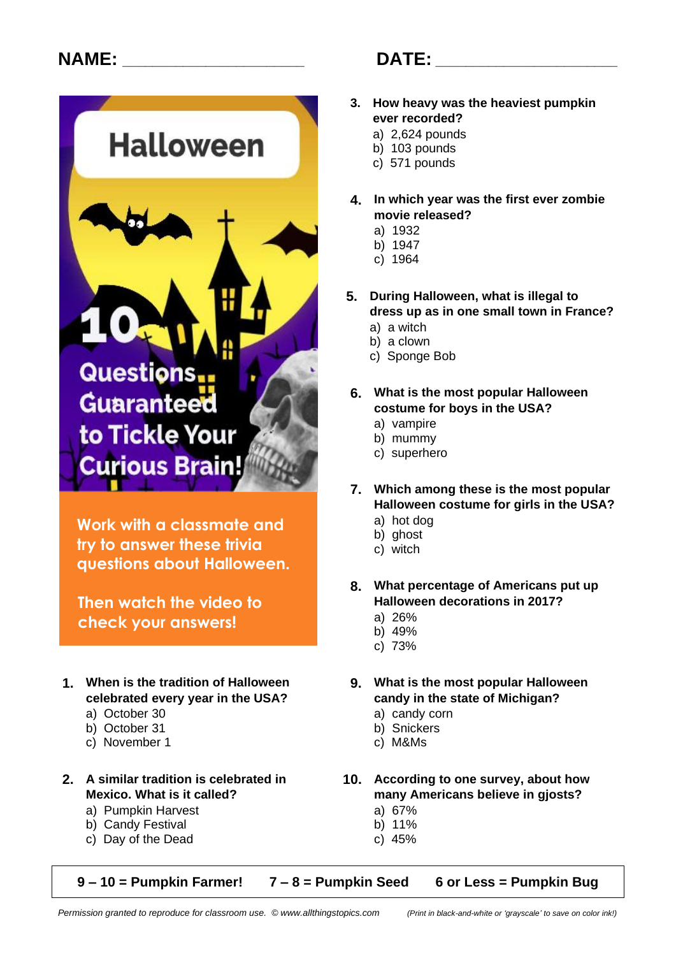

**Work with a classmate and try to answer these trivia questions about Halloween.**

**Then watch the video to check your answers!**

- -
	- b) October 31
	- c) November 1 c) M&Ms
- - a) Pumpkin Harvest and a control and a control and a control and a control and a control and a control and a control and a control and a control and a control and a control and a control and a control and a control and a c
	- b) Candy Festival b) 11%
	- c) Day of the Dead c) 45%

## **NAME: \_\_\_\_\_\_\_\_\_\_\_\_\_\_\_\_\_\_\_\_\_\_\_\_ DATE: \_\_\_\_\_\_\_\_\_\_\_\_\_\_\_\_\_\_\_\_\_\_\_\_**

- **3. How heavy was the heaviest pumpkin ever recorded?**
	- a) 2,624 pounds
	- b) 103 pounds
	- c) 571 pounds
- **4. In which year was the first ever zombie movie released?**
	- a) 1932
	- b) 1947
	- c) 1964
- **5. During Halloween, what is illegal to dress up as in one small town in France?**
	- a) a witch
	- b) a clown
	- c) Sponge Bob
- **6. What is the most popular Halloween costume for boys in the USA?**
	- a) vampire
	- b) mummy
	- c) superhero
- **7. Which among these is the most popular Halloween costume for girls in the USA?**
	- a) hot dog
	- b) ghost
	- c) witch
- **8. What percentage of Americans put up Halloween decorations in 2017?**
	- a) 26%
	- b) 49%
	- c) 73%
- **1. When is the tradition of Halloween 9. What is the most popular Halloween celebrated every year in the USA? candy in the state of Michigan?**
	- a) October 30 a) candy corn<br>
	b) October 31 b) Snickers
		-
		-
- **2. A similar tradition is celebrated in 10. According to one survey, about how Mexico. What is it called? many Americans believe in gjosts?**
	-
	-

**9 – 10 = Pumpkin Farmer! 7 – 8 = Pumpkin Seed 6 or Less = Pumpkin Bug**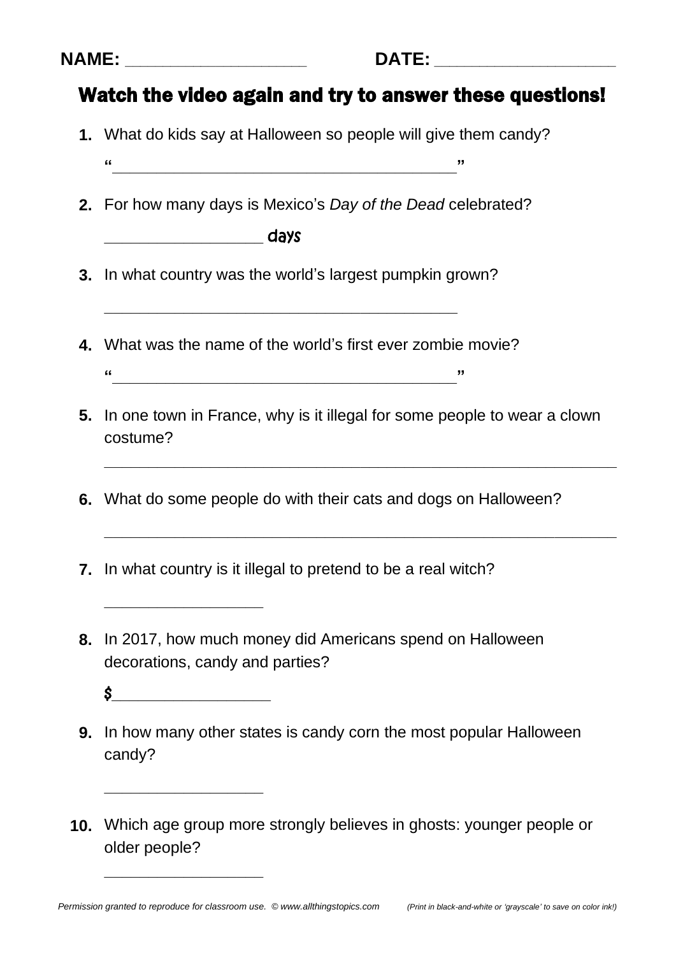| <b>M</b><br>Ш<br>٠<br>.,<br>. . |  |
|---------------------------------|--|
|---------------------------------|--|

## Watch the video again and try to answer these questions!

- **1.** What do kids say at Halloween so people will give them candy?
	- **"\_\_\_\_\_\_\_\_\_\_\_\_\_\_\_\_\_\_\_\_\_\_\_\_\_\_\_\_\_\_\_\_\_\_\_\_\_\_\_"**
- **2.** For how many days is Mexico's *Day of the Dead* celebrated?

**\_\_\_\_\_\_\_\_\_\_\_\_\_\_\_\_\_\_** days

**3.** In what country was the world's largest pumpkin grown?

**\_\_\_\_\_\_\_\_\_\_\_\_\_\_\_\_\_\_\_\_\_\_\_\_\_\_\_\_\_\_\_\_\_\_\_\_\_\_\_\_**

- **4.** What was the name of the world's first ever zombie movie? **"\_\_\_\_\_\_\_\_\_\_\_\_\_\_\_\_\_\_\_\_\_\_\_\_\_\_\_\_\_\_\_\_\_\_\_\_\_\_\_"**
- **5.** In one town in France, why is it illegal for some people to wear a clown costume?

**\_\_\_\_\_\_\_\_\_\_\_\_\_\_\_\_\_\_\_\_\_\_\_\_\_\_\_\_\_\_\_\_\_\_\_\_\_\_\_\_\_\_\_\_\_\_\_\_\_\_\_\_\_\_\_\_\_\_**

**\_\_\_\_\_\_\_\_\_\_\_\_\_\_\_\_\_\_\_\_\_\_\_\_\_\_\_\_\_\_\_\_\_\_\_\_\_\_\_\_\_\_\_\_\_\_\_\_\_\_\_\_\_\_\_\_\_\_**

- **6.** What do some people do with their cats and dogs on Halloween?
- **7.** In what country is it illegal to pretend to be a real witch?
- **8.** In 2017, how much money did Americans spend on Halloween decorations, candy and parties?
	- $\sim$

**\_\_\_\_\_\_\_\_\_\_\_\_\_\_\_\_\_\_**

**\_\_\_\_\_\_\_\_\_\_\_\_\_\_\_\_\_\_**

**\_\_\_\_\_\_\_\_\_\_\_\_\_\_\_\_\_\_**

- **9.** In how many other states is candy corn the most popular Halloween candy?
- **10.** Which age group more strongly believes in ghosts: younger people or older people?